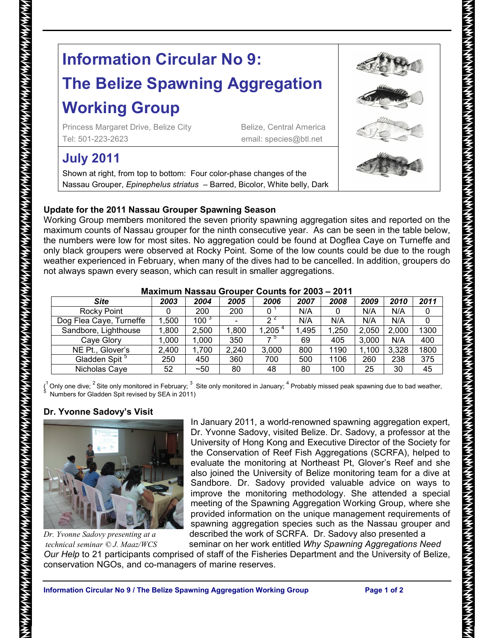# **Information Circular No 9:**

## **The Belize Spawning Aggregation Working Group**

Princess Margaret Drive, Belize City Belize, Central America Tel: 501-223-2623 email: species@btl.net

### **July 2011**

Shown at right, from top to bottom: Four color-phase changes of the Nassau Grouper, *Epinephelus striatus* – Barred, Bicolor, White belly, Dark

#### **Update for the 2011 Nassau Grouper Spawning Season**

Working Group members monitored the seven priority spawning aggregation sites and reported on the maximum counts of Nassau grouper for the ninth consecutive year. As can be seen in the table below, the numbers were low for most sites. No aggregation could be found at Dogflea Caye on Turneffe and only black groupers were observed at Rocky Point. Some of the low counts could be due to the rough weather experienced in February, when many of the dives had to be cancelled. In addition, groupers do not always spawn every season, which can result in smaller aggregations.

| <u> IVIAAIIIIUIII IVASSAU OTUUDET CUUTILS TUL ZUUJ – ZUT I</u> |       |           |       |            |       |       |       |       |      |
|----------------------------------------------------------------|-------|-----------|-------|------------|-------|-------|-------|-------|------|
| <b>Site</b>                                                    | 2003  | 2004      | 2005  | 2006       | 2007  | 2008  | 2009  | 2010  | 2011 |
| Rocky Point                                                    |       | 200       | 200   |            | N/A   | 0     | N/A   | N/A   |      |
| Dog Flea Caye, Turneffe                                        | 1.500 | $100^{3}$ |       | n 4        | N/A   | N/A   | N/A   | N/A   |      |
| Sandbore, Lighthouse                                           | 1,800 | 2,500     | 1,800 | 1,205 $^4$ | 1,495 | 1,250 | 2,050 | 2,000 | 1300 |
| Cave Glory                                                     | 1.000 | 1.000     | 350   | ל ל        | 69    | 405   | 3.000 | N/A   | 400  |
| NE Pt., Glover's                                               | 2.400 | 1,700     | 2,240 | 3,000      | 800   | 1190  | 1,100 | 3,328 | 1800 |
| Gladden Spit <sup>5</sup>                                      | 250   | 450       | 360   | 700        | 500   | 1106  | 260   | 238   | 375  |
| Nicholas Caye                                                  | 52    | ~50       | 80    | 48         | 80    | 100   | 25    | 30    | 45   |

#### **Maximum Nassau Grouper Counts for 2003 – 2011**

(<sup>1</sup> Only one dive; <sup>2</sup> Site only monitored in February; <sup>3</sup> Site only monitored in January; <sup>4</sup> Probably missed peak spawning due to bad weather,<br><sup>5</sup> Numbers for Gladden Spit revised by SEA in 2011)

#### **Dr. Yvonne Sadovy's Visit**



In January 2011, a world-renowned spawning aggregation expert, Dr. Yvonne Sadovy, visited Belize. Dr. Sadovy, a professor at the University of Hong Kong and Executive Director of the Society for the Conservation of Reef Fish Aggregations (SCRFA), helped to evaluate the monitoring at Northeast Pt, Glover's Reef and she also joined the University of Belize monitoring team for a dive at Sandbore. Dr. Sadovy provided valuable advice on ways to improve the monitoring methodology. She attended a special meeting of the Spawning Aggregation Working Group, where she provided information on the unique management requirements of spawning aggregation species such as the Nassau grouper and *Dr. Yvonne Sadovy presenting at a* described the work of SCRFA. Dr. Sadovy also presented a

*technical seminar © J. Maaz/WCS* seminar on her work entitled *Why Spawning Aggregations Need Our Help* to 21 participants comprised of staff of the Fisheries Department and the University of Belize, conservation NGOs, and co-managers of marine reserves.